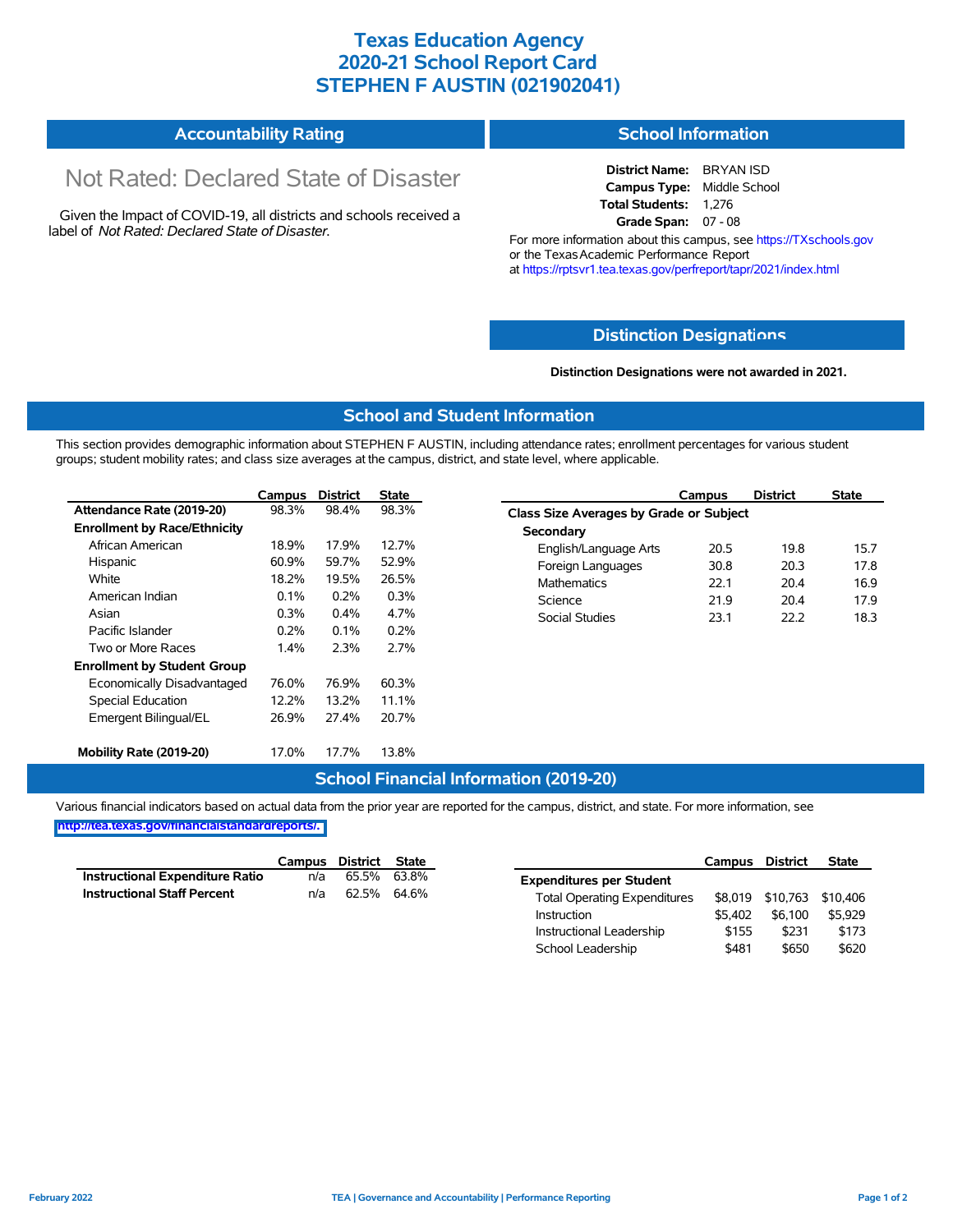## **Texas Education Agency 2020-21 School Report Card STEPHEN F AUSTIN (021902041)**

# **Accountability Rating**

# Not Rated: Declared State of Disaster

Given the Impact of COVID-19, all districts and schools received a label of *Not Rated: Declared State of Disaster.*

### **School Information**

**District Name:** BRYAN ISD **Campus Type:** Middle School **Total Students:** 1,276 **Grade Span:** 07 - 08

For more information about this campus, see https://TXschools.gov or the Texas Academic Performance Report at https://rptsvr1.tea.texas.gov/perfreport/tapr/2021/index.html

### **Distinction Designat[ions](https://TXschools.gov)**

#### **Distinction Designations were not awarded in 2021.**

School Leadership  $$481$  \$650 \$620

### **School and Student Information**

This section provides demographic information about STEPHEN F AUSTIN, including attendance rates; enrollment percentages for various student groups; student mobility rates; and class size averages at the campus, district, and state level, where applicable.

|                                     | Campus | <b>District</b> | <b>State</b> | Campus                        | <b>District</b>                                | <b>State</b> |  |  |  |
|-------------------------------------|--------|-----------------|--------------|-------------------------------|------------------------------------------------|--------------|--|--|--|
| Attendance Rate (2019-20)           | 98.3%  | 98.4%           | 98.3%        |                               | <b>Class Size Averages by Grade or Subject</b> |              |  |  |  |
| <b>Enrollment by Race/Ethnicity</b> |        |                 |              | Secondary                     |                                                |              |  |  |  |
| African American                    | 18.9%  | 17.9%           | 12.7%        | 20.5<br>English/Language Arts | 19.8                                           |              |  |  |  |
| Hispanic                            | 60.9%  | 59.7%           | 52.9%        | Foreign Languages<br>30.8     | 20.3                                           |              |  |  |  |
| White                               | 18.2%  | 19.5%           | 26.5%        | <b>Mathematics</b><br>22.1    | 20.4                                           |              |  |  |  |
| American Indian                     | 0.1%   | 0.2%            | 0.3%         | Science<br>21.9               | 20.4                                           |              |  |  |  |
| Asian                               | 0.3%   | 0.4%            | 4.7%         | Social Studies<br>23.1        | 22.2                                           |              |  |  |  |
| Pacific Islander                    | 0.2%   | $0.1\%$         | 0.2%         |                               |                                                |              |  |  |  |
| Two or More Races                   | 1.4%   | 2.3%            | 2.7%         |                               |                                                |              |  |  |  |
| <b>Enrollment by Student Group</b>  |        |                 |              |                               |                                                |              |  |  |  |
| Economically Disadvantaged          | 76.0%  | 76.9%           | 60.3%        |                               |                                                |              |  |  |  |
| Special Education                   | 12.2%  | 13.2%           | 11.1%        |                               |                                                |              |  |  |  |
| Emergent Bilingual/EL               | 26.9%  | 27.4%           | 20.7%        |                               |                                                |              |  |  |  |
| Mobility Rate (2019-20)             | 17.0%  | 17.7%           | 13.8%        |                               |                                                |              |  |  |  |

### **School Financial Information (2019-20)**

Various financial indicators based on actual data from the prior year are reported for the campus, district, and state. For more information, see

**[http://tea.texas.gov/financialstandardreports/.](http://tea.texas.gov/financialstandardreports/)**

|                                        | Campus | District | State |                                     | Campus  | <b>District</b>  | <b>State</b> |
|----------------------------------------|--------|----------|-------|-------------------------------------|---------|------------------|--------------|
| <b>Instructional Expenditure Ratio</b> | n/a    | 65.5%    | 63.8% | <b>Expenditures per Student</b>     |         |                  |              |
| <b>Instructional Staff Percent</b>     | n/a    | 62.5%    | 64.6% | <b>Total Operating Expenditures</b> |         | \$8,019 \$10,763 | \$10.406     |
|                                        |        |          |       | Instruction                         | \$5.402 | \$6.100          | \$5.929      |
|                                        |        |          |       | Instructional Leadership            | \$155   | \$231            | \$173        |